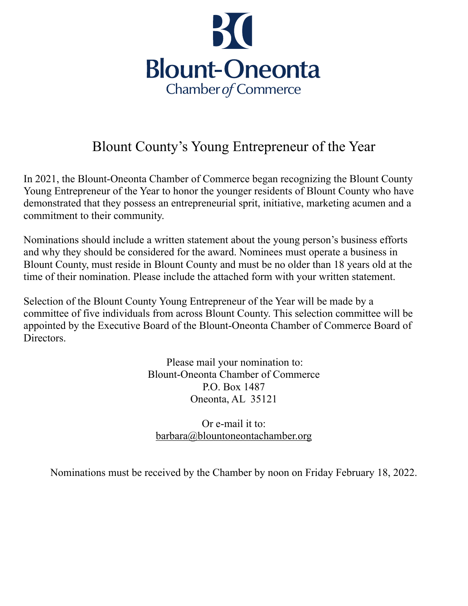

## Blount County's Young Entrepreneur of the Year

In 2021, the Blount-Oneonta Chamber of Commerce began recognizing the Blount County Young Entrepreneur of the Year to honor the younger residents of Blount County who have demonstrated that they possess an entrepreneurial sprit, initiative, marketing acumen and a commitment to their community.

Nominations should include a written statement about the young person's business efforts and why they should be considered for the award. Nominees must operate a business in Blount County, must reside in Blount County and must be no older than 18 years old at the time of their nomination. Please include the attached form with your written statement.

Selection of the Blount County Young Entrepreneur of the Year will be made by a committee of five individuals from across Blount County. This selection committee will be appointed by the Executive Board of the Blount-Oneonta Chamber of Commerce Board of Directors.

> Please mail your nomination to: Blount-Oneonta Chamber of Commerce P.O. Box 1487 Oneonta, AL 35121

Or e-mail it to: [barbara@blountoneontachamber.org](mailto:barbara@blountoneontachamber.org)

Nominations must be received by the Chamber by noon on Friday February 18, 2022.